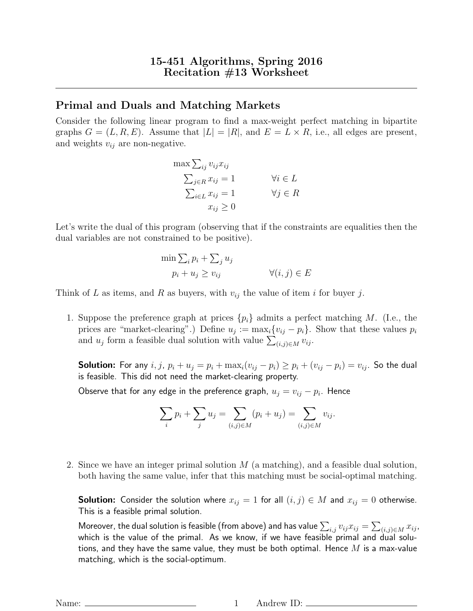## Primal and Duals and Matching Markets

Consider the following linear program to find a max-weight perfect matching in bipartite graphs  $G = (L, R, E)$ . Assume that  $|L| = |R|$ , and  $E = L \times R$ , i.e., all edges are present, and weights  $v_{ij}$  are non-negative.

$$
\max \sum_{ij} v_{ij} x_{ij}
$$
  
\n
$$
\sum_{j \in R} x_{ij} = 1 \qquad \forall i \in L
$$
  
\n
$$
\sum_{i \in L} x_{ij} = 1 \qquad \forall j \in R
$$
  
\n
$$
x_{ij} \ge 0
$$

Let's write the dual of this program (observing that if the constraints are equalities then the dual variables are not constrained to be positive).

$$
\min \sum_{i} p_i + \sum_{j} u_j
$$
  
 
$$
p_i + u_j \ge v_{ij} \qquad \forall (i, j) \in E
$$

Think of L as items, and R as buyers, with  $v_{ij}$  the value of item i for buyer j.

1. Suppose the preference graph at prices  $\{p_i\}$  admits a perfect matching M. (I.e., the prices are "market-clearing".) Define  $u_j := \max_i \{v_{ij} - p_i\}$ . Show that these values  $p_i$ and  $u_j$  form a feasible dual solution with value  $\sum_{(i,j)\in M} v_{ij}$ .

**Solution:** For any  $i, j, p_i + u_j = p_i + \max_i (v_{ij} - p_i) \ge p_i + (v_{ij} - p_i) = v_{ij}$ . So the dual is feasible. This did not need the market-clearing property.

Observe that for any edge in the preference graph,  $u_j = v_{ij} - p_i$ . Hence

$$
\sum_{i} p_i + \sum_{j} u_j = \sum_{(i,j) \in M} (p_i + u_j) = \sum_{(i,j) \in M} v_{ij}.
$$

2. Since we have an integer primal solution  $M$  (a matching), and a feasible dual solution, both having the same value, infer that this matching must be social-optimal matching.

**Solution:** Consider the solution where  $x_{ij} = 1$  for all  $(i, j) \in M$  and  $x_{ij} = 0$  otherwise. This is a feasible primal solution.

Moreover, the dual solution is feasible (from above) and has value  $\sum_{i,j}v_{ij}x_{ij}=\sum_{(i,j)\in M}x_{ij}$ , which is the value of the primal. As we know, if we have feasible primal and dual solutions, and they have the same value, they must be both optimal. Hence  $M$  is a max-value matching, which is the social-optimum.

Name: 1 Andrew ID: